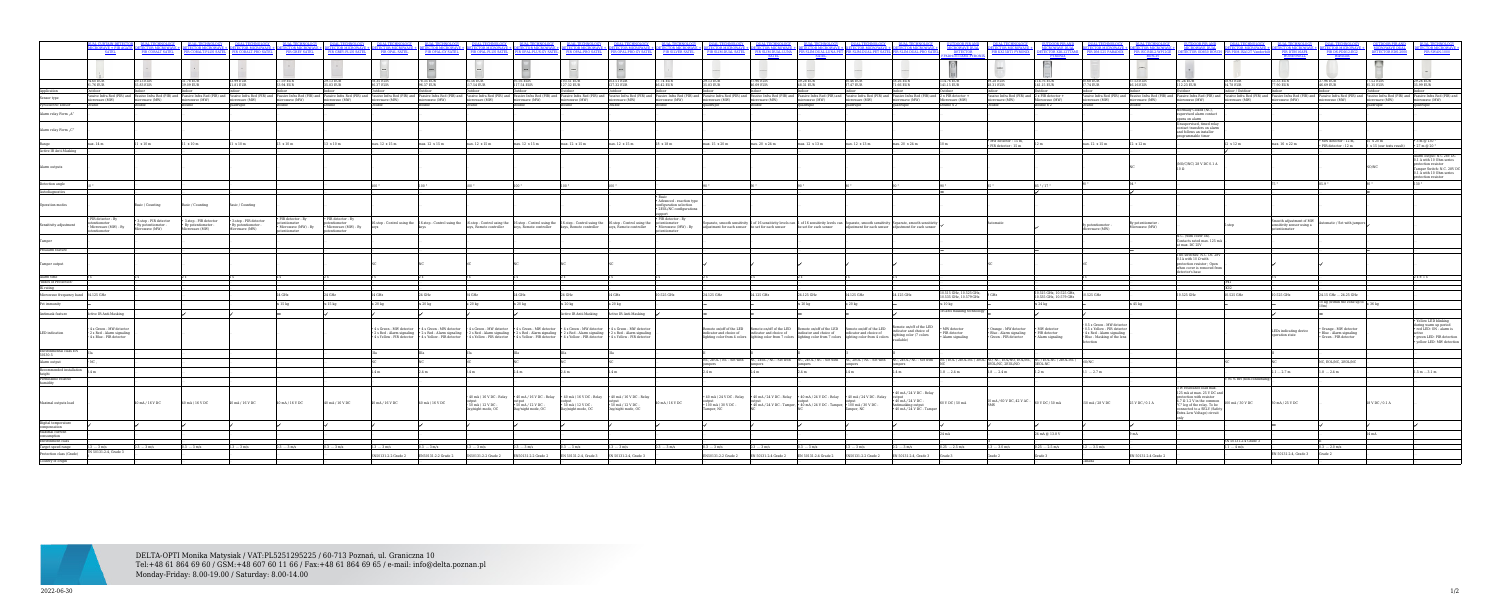DELTA-OPTI Monika Matysiak / VAT:PL5251295225 / 60-713 Poznań, ul. Graniczna 10 Tel:+48 61 864 69 60 / GSM:+48 607 60 11 66 / Fax:+48 61 864 69 65 / e-mail: info@delta.poznan.pl Monday-Friday: 8.00-19.00 / Saturday: 8.00-14.00

|                                                                                 | <b>ALCOURTAIN DETECTOR</b><br><b>ROWAVE + PIR AGATE</b><br><b>SATEL</b>           | <b>IR COBALT SATEL</b>                                   |                                                                 | <b>COBALT-PRO SATEL</b>                                         | <b>PIR GREY SATEL</b>                                   | PIR GREY-PLUS SATEL                                               | <b>PIR OPAL SATEL</b>                                | PIR OPAL-GY SATEL       | $\textbf{DLA} \textbf{DFA} \textbf{DFA} \textbf{DFA} \textbf{DFA} \textbf{DFA} \textbf{DFA} \textbf{DFA} \textbf{DFA} \textbf{DFA} \textbf{DFA} \textbf{DFA} \textbf{DFA} \textbf{DFA} \textbf{DFA} \textbf{DFA} \textbf{DFA} \textbf{DFA} \textbf{DFA} \textbf{DFA} \textbf{DFA} \textbf{DFA} \textbf{DFA} \textbf{DFA} \textbf{DFA} \textbf{DFA} \textbf{DFA} \textbf{DFA} \textbf{DFA} \textbf{DFA} \textbf{DFA} \textbf$<br>PIR OPAL-PLUS SATEL |                                                 | R OPAL-PLUS-GY SATEL PIR OPAL-PRO SATEL                                                                                                                    | <b>ROPAL-PRO-GY SATEL</b>                       | <b>PIR SILVER SATEL</b>                                                         |                                          | PIR SLIM-DUAL SATEL PIR SLIM-DUAL-LUNA                                       | <b>SATEL</b>          | <b>IR SLIM-DUAL-PET SATEL P</b>                                                                                                                                                                                                                                               | <b>SLIM-DUAL-PROS</b>                                                                                                                                                                                                                                                                | <b>MICROWAVE DUAL</b><br><b>DETECTOR</b>                | <b>ECTOR MICROWAV</b>                                                                                                     | <b>IICROWAVE DUAL</b>                                        | <b>CTOR MICROWAVE +</b>                                                                                                             | <b>ECTOR MICROWAVE</b><br>PIR ISC-BDL2-WP12GE<br>BOSCH | <b>IICROWAVE DUAL</b><br><b>ECTOR OD850 BOS</b>                                                                                                                                                                                                  |                             |                                                                        |                                                                              | <b>ICROWAVE DUAL</b><br><b>ETECTOR EDS-2</b> | <b>ECTOR MICROWAVE +</b><br>PIR SWAN-1000                                                                                          |
|---------------------------------------------------------------------------------|-----------------------------------------------------------------------------------|----------------------------------------------------------|-----------------------------------------------------------------|-----------------------------------------------------------------|---------------------------------------------------------|-------------------------------------------------------------------|------------------------------------------------------|-------------------------|-----------------------------------------------------------------------------------------------------------------------------------------------------------------------------------------------------------------------------------------------------------------------------------------------------------------------------------------------------------------------------------------------------------------------------------------------------|-------------------------------------------------|------------------------------------------------------------------------------------------------------------------------------------------------------------|-------------------------------------------------|---------------------------------------------------------------------------------|------------------------------------------|------------------------------------------------------------------------------|-----------------------|-------------------------------------------------------------------------------------------------------------------------------------------------------------------------------------------------------------------------------------------------------------------------------|--------------------------------------------------------------------------------------------------------------------------------------------------------------------------------------------------------------------------------------------------------------------------------------|---------------------------------------------------------|---------------------------------------------------------------------------------------------------------------------------|--------------------------------------------------------------|-------------------------------------------------------------------------------------------------------------------------------------|--------------------------------------------------------|--------------------------------------------------------------------------------------------------------------------------------------------------------------------------------------------------------------------------------------------------|-----------------------------|------------------------------------------------------------------------|------------------------------------------------------------------------------|----------------------------------------------|------------------------------------------------------------------------------------------------------------------------------------|
|                                                                                 |                                                                                   |                                                          |                                                                 |                                                                 |                                                         |                                                                   |                                                      |                         |                                                                                                                                                                                                                                                                                                                                                                                                                                                     |                                                 |                                                                                                                                                            |                                                 |                                                                                 |                                          |                                                                              |                       |                                                                                                                                                                                                                                                                               |                                                                                                                                                                                                                                                                                      |                                                         | <b>INTE</b>                                                                                                               | <b>Experts</b>                                               |                                                                                                                                     |                                                        |                                                                                                                                                                                                                                                  |                             |                                                                        |                                                                              |                                              |                                                                                                                                    |
|                                                                                 | 74.60 EUR<br>1.76 EUR                                                             | 29.13 EUR<br>$83$ FHR                                    | 31.78 EUR<br>0.09 EUR                                           | 33.99 EUR<br>$81$ FIII                                          | 27.59 EUR<br>3.94 EUR                                   | 29.13 EUR<br>83 EUR                                               | 78.35 EUR<br>37 EUR                                  | 8.35 EUR<br>37 EUR      | 95.56 EUR<br>7.54 EUR                                                                                                                                                                                                                                                                                                                                                                                                                               | 95.56 EUR<br>7.54 EUR                           | 103.51 EUR<br>127.32 EUR                                                                                                                                   | 103.51 EUR<br>32 FUR                            | 37.74 EUR<br>6.42 EUR                                                           | 9.13 EUR<br>83 FIIR                      | 37.96 EUR<br>46.69 EUR                                                       | 39.28 EUR<br>3.31 EUR | 30 46 EUR<br>7.47 EUR                                                                                                                                                                                                                                                         | 58.26 EUR<br>$.66$ EUR                                                                                                                                                                                                                                                               | 114.76 EUR<br>1.15 EUR                                  | 39.28 EUR<br>31 EUR                                                                                                       | 114.76 EUR<br>141.15 EUR                                     | 30.68 EUR<br>37.74 EUR                                                                                                              | 37.53 EUR<br><b>16.16 EUR</b>                          | 91.24 EUR<br>23 FHR                                                                                                                                                                                                                              | 68.93 EUR<br><b>478 FUR</b> | 63.33 EUR<br>7.90 FUR                                                  | 37.96 EUR<br><b>16.69 EUR</b>                                                | 7.52 EUR<br>35 FUR                           | 29.26 EUR<br>.99 EUR                                                                                                               |
|                                                                                 |                                                                                   |                                                          |                                                                 |                                                                 |                                                         |                                                                   |                                                      |                         |                                                                                                                                                                                                                                                                                                                                                                                                                                                     |                                                 |                                                                                                                                                            |                                                 |                                                                                 |                                          |                                                                              |                       |                                                                                                                                                                                                                                                                               |                                                                                                                                                                                                                                                                                      |                                                         |                                                                                                                           |                                                              |                                                                                                                                     |                                                        |                                                                                                                                                                                                                                                  |                             |                                                                        |                                                                              |                                              |                                                                                                                                    |
| Sensor type<br>Pyroelectric sensor                                              | rowave (MW)                                                                       | nicrowave (MW)                                           | microwave (MW)                                                  | nicrowave (MW)                                                  | microwave (MW)                                          | microwave (MW)                                                    | microwave (MW)                                       | nicrowave (MW)          | assive Infra Red (PIR) and Passive Infra Red (PIR) and Passive Infra Red (PIR) and Passive Infra Red (PIR) and Passive Infra Red (PIR) and Passive Infra Red (PIR) and Passive Infra Red (PIR) and Passive Infra Red (PIR) and<br>microwave (MW)                                                                                                                                                                                                    | microwave (MW)                                  | microwave (MW)                                                                                                                                             | icrowave (MW)                                   | microwave (MW)                                                                  | icrowave (MW)                            | microwave (MW)                                                               | microwave (MW)        | microwave (MW)                                                                                                                                                                                                                                                                | rowave (MW)                                                                                                                                                                                                                                                                          | Microwave (MW)                                          | assive Infra Red (PIR) and 2 x PIR detector +<br>rowave (MW)                                                              | $\frac{\text{Microwave (MW)}}{\text{Double x 2}}$            | rowave (MW)                                                                                                                         | microwave (MW)                                         | Passive Infra Red (PIR) and Passive Infra Red (PIR) and Passive Infra Red (PIR) and Passive Infra Red (PIR) and Passive Infra Red (PIR) and Passive Infra Red (PIR) and Passive Infra Red (PIR) and Passive Infra Red (PIR) an<br>nicrowave (MW) | icrowave (MW)               | microwave (MW)                                                         | microwave (MW)                                                               | microwave (MW)                               | icrowave (MW)                                                                                                                      |
|                                                                                 |                                                                                   |                                                          |                                                                 |                                                                 |                                                         |                                                                   |                                                      |                         |                                                                                                                                                                                                                                                                                                                                                                                                                                                     |                                                 |                                                                                                                                                            |                                                 |                                                                                 |                                          |                                                                              |                       | iadruple                                                                                                                                                                                                                                                                      |                                                                                                                                                                                                                                                                                      | uble x 2                                                |                                                                                                                           |                                                              |                                                                                                                                     |                                                        | ormally Closed (NC),                                                                                                                                                                                                                             |                             |                                                                        |                                                                              |                                              |                                                                                                                                    |
| Alarm relay Form "A"                                                            |                                                                                   |                                                          |                                                                 |                                                                 |                                                         |                                                                   |                                                      |                         |                                                                                                                                                                                                                                                                                                                                                                                                                                                     |                                                 |                                                                                                                                                            |                                                 |                                                                                 |                                          |                                                                              |                       |                                                                                                                                                                                                                                                                               |                                                                                                                                                                                                                                                                                      |                                                         |                                                                                                                           |                                                              |                                                                                                                                     |                                                        | upervised alarm contact<br>ens on alarm                                                                                                                                                                                                          |                             |                                                                        |                                                                              |                                              |                                                                                                                                    |
| Alarm relay Form "C"                                                            |                                                                                   |                                                          |                                                                 |                                                                 |                                                         |                                                                   |                                                      |                         |                                                                                                                                                                                                                                                                                                                                                                                                                                                     |                                                 |                                                                                                                                                            |                                                 |                                                                                 |                                          |                                                                              |                       |                                                                                                                                                                                                                                                                               |                                                                                                                                                                                                                                                                                      |                                                         |                                                                                                                           |                                                              |                                                                                                                                     |                                                        | nsupervised, timed rela<br>contact transfers on alarm<br>and follows an installer<br>rammable timer                                                                                                                                              |                             |                                                                        |                                                                              |                                              |                                                                                                                                    |
| Range                                                                           | max. 14 m                                                                         | $1 \times 10 \text{ m}$                                  | 11 x 10 m                                                       | 11 x 10 m                                                       | 13 x 10 m                                               | 13 x 10 m                                                         | max. 12 x 15 m                                       | max. 12 x 15 m          | max. 12 x 15 m                                                                                                                                                                                                                                                                                                                                                                                                                                      | max. 12 x 15 m                                  | max. 12 x 15 m                                                                                                                                             | max. 12 x 15 m                                  | 18 x 18 m                                                                       | max. 15 x 20 m                           | max. 20 x 24 m                                                               | max. 12 x 13 m        | max. 12 x 13 m                                                                                                                                                                                                                                                                | max. 20 x 24 m                                                                                                                                                                                                                                                                       |                                                         | $\begin{array}{l}{\text{\bf \texttt{*}}} \text{ MW detector}: 15 m,\\{\text{\bf \texttt{PIR detector}}}: 15 m\end{array}$ | 12 <sub>m</sub>                                              | max. 12 x 15 m                                                                                                                      | 12 x 12 m                                              |                                                                                                                                                                                                                                                  | 12 x 12 m                   | max. 16 x 22 m                                                         | • MW detector : 12 m,<br>· PIR detector : 12 m                               | 5 x 20 m<br>8 x 15 (our tests result)        | 3 m @ 130<br>$\cdot$ 27 m @ 20 $^{\circ}$                                                                                          |
| Active IR Anti-Masking                                                          |                                                                                   |                                                          |                                                                 |                                                                 |                                                         |                                                                   |                                                      |                         |                                                                                                                                                                                                                                                                                                                                                                                                                                                     |                                                 |                                                                                                                                                            |                                                 |                                                                                 |                                          |                                                                              |                       |                                                                                                                                                                                                                                                                               |                                                                                                                                                                                                                                                                                      |                                                         |                                                                                                                           |                                                              |                                                                                                                                     |                                                        |                                                                                                                                                                                                                                                  |                             |                                                                        |                                                                              |                                              | Alarm output: N.C 28V DC                                                                                                           |
| Alarm outputs                                                                   |                                                                                   |                                                          |                                                                 |                                                                 |                                                         |                                                                   |                                                      |                         |                                                                                                                                                                                                                                                                                                                                                                                                                                                     |                                                 |                                                                                                                                                            |                                                 |                                                                                 |                                          |                                                                              |                       |                                                                                                                                                                                                                                                                               |                                                                                                                                                                                                                                                                                      |                                                         |                                                                                                                           |                                                              |                                                                                                                                     |                                                        | (NO/C/NC) 28 V DC 0.1 A                                                                                                                                                                                                                          |                             |                                                                        |                                                                              |                                              | 0.1 A with 10 Ohm series<br>protection resistor<br>Tamper Switch: N.C. 28V DC<br>0.1 A with 10 Ohm series<br>protection resistor   |
| Detection angle                                                                 |                                                                                   |                                                          |                                                                 |                                                                 |                                                         |                                                                   |                                                      |                         |                                                                                                                                                                                                                                                                                                                                                                                                                                                     |                                                 |                                                                                                                                                            |                                                 |                                                                                 |                                          |                                                                              |                       |                                                                                                                                                                                                                                                                               |                                                                                                                                                                                                                                                                                      |                                                         |                                                                                                                           | 85 ° / 17 °                                                  |                                                                                                                                     |                                                        |                                                                                                                                                                                                                                                  |                             |                                                                        |                                                                              |                                              |                                                                                                                                    |
| utodiagnostics                                                                  |                                                                                   |                                                          |                                                                 |                                                                 |                                                         |                                                                   |                                                      |                         |                                                                                                                                                                                                                                                                                                                                                                                                                                                     |                                                 |                                                                                                                                                            |                                                 |                                                                                 |                                          |                                                                              |                       |                                                                                                                                                                                                                                                                               |                                                                                                                                                                                                                                                                                      |                                                         |                                                                                                                           |                                                              |                                                                                                                                     |                                                        |                                                                                                                                                                                                                                                  |                             |                                                                        |                                                                              |                                              |                                                                                                                                    |
| Operation modes                                                                 |                                                                                   | Basic / Counting                                         | Basic / Counting                                                | Basic / Counting                                                |                                                         |                                                                   |                                                      |                         |                                                                                                                                                                                                                                                                                                                                                                                                                                                     |                                                 |                                                                                                                                                            |                                                 | · Advanced - reaction type<br>nfiguration selection<br>· 2EOL/NC configurations |                                          |                                                                              |                       |                                                                                                                                                                                                                                                                               |                                                                                                                                                                                                                                                                                      |                                                         |                                                                                                                           |                                                              |                                                                                                                                     |                                                        |                                                                                                                                                                                                                                                  |                             |                                                                        |                                                                              |                                              |                                                                                                                                    |
| Sensitivity adjustment                                                          | PIR detector - By<br>entiometer<br>Microwave (MW) - By                            | 3-step - PIR detector<br>y potentiometer -<br>owave (MW) | 3-step - PIR detector<br>· By potentiometer -<br>licrowave (MW) | 3-step - PIR detector<br>· By potentiometer -<br>licrowave (MW) | PIR detector - By<br>tentiometer<br>Microwave (MW) - By | · PIR detector - By<br>otentiometer<br>• Microwave (MW) - By keys |                                                      |                         | 16-step - Control using the 16-step - Control using the 16-step - Control using the 16-step - Control using the 16-step - Control using the 16-step - Control using the 16-step - Control using the 16-step - Control using th                                                                                                                                                                                                                      |                                                 | keys, Remote controller keys, Remote controller keys, Remote controller keys, Remote controller                                                            |                                                 | · PIR detector - By<br>potentiometer<br>• Microwave (MW) - By                   |                                          |                                                                              |                       |                                                                                                                                                                                                                                                                               | parate, smooth sensitivity 1 of 16 sensitivity levels can 1 of 16 sensitivity levels can Separate, smooth sensitivity Separate, smooth sensitivity<br>adjustment for each sensor be set for each sensor be set for each sensor adjustment for each sensor adjustment for each sensor |                                                         | Automatic                                                                                                                 |                                                              | By potentiometer -<br>Microwave (MW)                                                                                                | v potentiometer<br>dicrowave (MW)                      |                                                                                                                                                                                                                                                  |                             | Smooth adjustment of MW<br>sensitivity sensor using a<br>potentiometer | Automatic / Set with jumpers                                                 |                                              |                                                                                                                                    |
|                                                                                 |                                                                                   |                                                          |                                                                 |                                                                 |                                                         |                                                                   |                                                      |                         |                                                                                                                                                                                                                                                                                                                                                                                                                                                     |                                                 |                                                                                                                                                            |                                                 |                                                                                 |                                          |                                                                              |                       |                                                                                                                                                                                                                                                                               |                                                                                                                                                                                                                                                                                      |                                                         |                                                                                                                           |                                                              |                                                                                                                                     |                                                        | .C. (with cover on).<br>Contacts rated max. 125 m/<br>t max. DC 25V                                                                                                                                                                              |                             |                                                                        |                                                                              |                                              |                                                                                                                                    |
| Prealarm feature                                                                |                                                                                   |                                                          |                                                                 |                                                                 |                                                         |                                                                   |                                                      |                         |                                                                                                                                                                                                                                                                                                                                                                                                                                                     |                                                 |                                                                                                                                                            |                                                 |                                                                                 |                                          |                                                                              |                       |                                                                                                                                                                                                                                                                               |                                                                                                                                                                                                                                                                                      |                                                         |                                                                                                                           |                                                              |                                                                                                                                     |                                                        |                                                                                                                                                                                                                                                  |                             |                                                                        |                                                                              |                                              |                                                                                                                                    |
| Tamper output                                                                   |                                                                                   |                                                          |                                                                 |                                                                 |                                                         |                                                                   |                                                      |                         |                                                                                                                                                                                                                                                                                                                                                                                                                                                     |                                                 |                                                                                                                                                            |                                                 |                                                                                 |                                          |                                                                              |                       |                                                                                                                                                                                                                                                                               |                                                                                                                                                                                                                                                                                      |                                                         |                                                                                                                           |                                                              |                                                                                                                                     |                                                        | wo switches: N.C. DC 28<br>$0.1$ A with $10\ \Omega$ with<br>otection resistor; Ope<br>when cover is removed fron<br>ctor's base                                                                                                                 |                             |                                                                        |                                                                              |                                              |                                                                                                                                    |
| Alarm time<br>"Index of Protection"                                             |                                                                                   |                                                          |                                                                 |                                                                 |                                                         |                                                                   |                                                      |                         |                                                                                                                                                                                                                                                                                                                                                                                                                                                     |                                                 |                                                                                                                                                            |                                                 |                                                                                 |                                          |                                                                              |                       |                                                                                                                                                                                                                                                                               |                                                                                                                                                                                                                                                                                      |                                                         |                                                                                                                           |                                                              |                                                                                                                                     |                                                        |                                                                                                                                                                                                                                                  |                             |                                                                        |                                                                              |                                              |                                                                                                                                    |
| IK rating                                                                       |                                                                                   |                                                          |                                                                 |                                                                 |                                                         |                                                                   |                                                      |                         |                                                                                                                                                                                                                                                                                                                                                                                                                                                     |                                                 |                                                                                                                                                            |                                                 |                                                                                 |                                          |                                                                              |                       |                                                                                                                                                                                                                                                                               |                                                                                                                                                                                                                                                                                      |                                                         |                                                                                                                           |                                                              |                                                                                                                                     |                                                        |                                                                                                                                                                                                                                                  |                             |                                                                        |                                                                              |                                              |                                                                                                                                    |
| Microwave frequency band 24.125 GHz                                             |                                                                                   |                                                          |                                                                 |                                                                 | 24 GHz                                                  |                                                                   | 24 GHz                                               |                         | 24 GHz                                                                                                                                                                                                                                                                                                                                                                                                                                              |                                                 | 24 GHz                                                                                                                                                     |                                                 | 10.525 GHz                                                                      | 1.125 GHz                                | 24.125 GHz                                                                   | 24.125 GHz            | 24.125 GHz                                                                                                                                                                                                                                                                    | 24.125 GHz                                                                                                                                                                                                                                                                           | 15 GHz. 10.525 GHz<br>0.535 GHz, 10.579 GHz             |                                                                                                                           | 10.515 GHz, 10.525 GHz,<br>10.535 GHz, 10.579 GHz            | 10.525 GHz                                                                                                                          |                                                        | 10.525 GHz                                                                                                                                                                                                                                       | 10.525 GHz                  | 10.525 GHz                                                             | 24.15 GHz  24.25 GHz                                                         |                                              |                                                                                                                                    |
| Pet immunity                                                                    |                                                                                   |                                                          |                                                                 |                                                                 | $\leq$ 15 kg                                            | $\leq 15$ kg                                                      | $\leq 20$ kg                                         | ≤ 20 kg                 | $\leq 20$ kg                                                                                                                                                                                                                                                                                                                                                                                                                                        | $\leq 20$ kg                                    | $\leq$ 20 kg                                                                                                                                               | $\leq 20$ kg                                    |                                                                                 |                                          |                                                                              | $\leq 20 \text{ kg}$  | $\leq 20$ kg                                                                                                                                                                                                                                                                  |                                                                                                                                                                                                                                                                                      | $\leq 10 \text{ kg}$                                    |                                                                                                                           | $\leq 24$ kg                                                 |                                                                                                                                     | $\leq 45$ kg                                           |                                                                                                                                                                                                                                                  |                             |                                                                        | $10\;\mathrm{kg}$ (within the zone up to $\left \leq 36\;\mathrm{kg}\right $ |                                              |                                                                                                                                    |
| Antimask feature                                                                | Active IR Anti-Masking                                                            |                                                          |                                                                 |                                                                 |                                                         |                                                                   |                                                      |                         |                                                                                                                                                                                                                                                                                                                                                                                                                                                     |                                                 | Active IR Anti-Masking                                                                                                                                     | Active IR Anti-Masking                          |                                                                                 |                                          |                                                                              |                       |                                                                                                                                                                                                                                                                               |                                                                                                                                                                                                                                                                                      | ri-anti masking technology                              |                                                                                                                           |                                                              |                                                                                                                                     |                                                        |                                                                                                                                                                                                                                                  |                             |                                                                        |                                                                              |                                              |                                                                                                                                    |
| LED indication                                                                  | 4 s Green - MW detector<br>• 2 s Red - Alarm signaling<br>4 s Blue - PIR detector |                                                          |                                                                 |                                                                 |                                                         |                                                                   | 4 s Green - MW detector<br>4 s Yellow - PIR detector | 4 s Green - MW detector | • 4 s Green - MW detector<br>2 s Red - Alarm signaling . 2 s Red - Alarm signaling . 2 s Red - Alarm signaling . 2 s Red - Alarm signaling . 2 s Red - Alarm signaling . 2 s Red - Alarm signaling<br>4 s Yellow - PIR detector + 4 s Yellow - PIR detector + 4 s Yellow - PIR detector + 4 s Yellow - PIR detector + 4 s Yellow - PIR detector                                                                                                     |                                                 | • 4 s Green - MW detector • 4 s Green - MW detector • 4 s Green - MW detector                                                                              |                                                 |                                                                                 | indicator and choice of                  | indicator and choice of                                                      |                       | Remote on/off of the LED Remote on/off of the LED Remote on/off of the LED Remote on/off of the LED<br>indicator and choice of indicator and choice of<br>lighting color from 4 colors lighting color from 7 colors lighting color from 7 colors lighting color from 4 colors | ote on/off of the LED<br>indicator and choice of<br>ighting color (7 colors                                                                                                                                                                                                          | <b>IW</b> detector<br>PIR detector<br>• Alarm signaling | Orange - MW detector<br>· Blue - Alarm signaling<br>· Green - PIR detector                                                | · MW detector<br>$\bullet$ PIR detector<br>• Alarm signaling | $0.5$ s Green - MW detector<br>$\bullet$ 0.5 s Yellow - PIR detector<br>• 4 s Red - Alarm signaling<br>· Blue - Masking of the lens |                                                        |                                                                                                                                                                                                                                                  |                             | LEDs indicating device<br>operation state                              | Orange - MW detector<br>· Blue - Alarm signaling<br>· Green - PIR detector   |                                              | Yellow LED blinking<br>during warm up period<br>· red LED: ON - alarm is<br>· green LED: PIR detection<br>yellow LED: MW detection |
| $\begin{array}{l} {\rm Environmental\ class\ EN} \\ 50130\hbox{-}5 \end{array}$ |                                                                                   |                                                          |                                                                 |                                                                 |                                                         |                                                                   |                                                      |                         |                                                                                                                                                                                                                                                                                                                                                                                                                                                     |                                                 |                                                                                                                                                            |                                                 |                                                                                 |                                          |                                                                              |                       |                                                                                                                                                                                                                                                                               |                                                                                                                                                                                                                                                                                      |                                                         |                                                                                                                           |                                                              |                                                                                                                                     |                                                        |                                                                                                                                                                                                                                                  |                             |                                                                        |                                                                              |                                              |                                                                                                                                    |
| Alarm output                                                                    |                                                                                   |                                                          |                                                                 |                                                                 |                                                         |                                                                   |                                                      |                         |                                                                                                                                                                                                                                                                                                                                                                                                                                                     |                                                 |                                                                                                                                                            |                                                 |                                                                                 |                                          |                                                                              |                       |                                                                                                                                                                                                                                                                               | C, 2EOL / NC - Set with MC, 2EOL / NC - Set with NC, 2EOL / NC - Set with NC, 2EOL / NC - Set with NC, 2EOL / NC - Set with NC, 2EOL / NC - Set with NC, 2EOL / NC - Set with NC, 2EOL / NC - Set with NC, 2EOL / NC - Set wit                                                       |                                                         | EOL/NC, 2EOL/NO                                                                                                           | 3EOL-NC                                                      |                                                                                                                                     |                                                        |                                                                                                                                                                                                                                                  |                             |                                                                        | NC, EOL/NC, 2EOL/NO                                                          |                                              |                                                                                                                                    |
| Recommended installation                                                        |                                                                                   |                                                          |                                                                 |                                                                 |                                                         |                                                                   |                                                      |                         |                                                                                                                                                                                                                                                                                                                                                                                                                                                     |                                                 |                                                                                                                                                            |                                                 |                                                                                 |                                          | 2.4 m                                                                        | 2.4 <sub>m</sub>      | 2.4 <sub>m</sub>                                                                                                                                                                                                                                                              |                                                                                                                                                                                                                                                                                      | $.8 \dots 2.4 \text{ m}$                                | 2.4 m                                                                                                                     | $1.2 \text{ m}$                                              | $.1 \dots 2.7 \text{ m}$                                                                                                            |                                                        |                                                                                                                                                                                                                                                  |                             | 2.12.7m                                                                | $1.8 \dots 2.4 \text{ m}$                                                    |                                              | $1.5 \text{ m}  3.1 \text{ m}$                                                                                                     |
| height<br>Permissible relative<br>humidity                                      |                                                                                   |                                                          |                                                                 |                                                                 |                                                         |                                                                   |                                                      |                         |                                                                                                                                                                                                                                                                                                                                                                                                                                                     |                                                 |                                                                                                                                                            |                                                 |                                                                                 |                                          |                                                                              |                       |                                                                                                                                                                                                                                                                               |                                                                                                                                                                                                                                                                                      |                                                         |                                                                                                                           |                                                              |                                                                                                                                     |                                                        |                                                                                                                                                                                                                                                  | < 95 % RH (non-conden       |                                                                        |                                                                              |                                              |                                                                                                                                    |
| Maximal outputs load                                                            |                                                                                   | 40 mA / 16 V DC                                          | 40 mA / 16 V DC                                                 | 40 mA / 16 V DC                                                 | 40 mA / 16 V DC                                         | 40 mA / 16 V DC                                                   | 40 mA / 16 V DC                                      | 40 mA / 16 V DC         | $-50$ mA $/12$ V DC -<br>Day/night mode, OC                                                                                                                                                                                                                                                                                                                                                                                                         | $\cdot$ 50 mA / 12 V DC -<br>Day/night mode, OC | • 40 mA / 16 V DC - Relay • 40 mA / 16 V DC - Relay • 40 mA / 16 V DC - Relay • 40 mA / 16 V DC - Relay<br>$\cdot$ 50 mA / 12 V DC -<br>Day/night mode, OC | $\cdot$ 50 mA / 12 V DC -<br>Day/night mode, OC | 40 mA / 16 V DC                                                                 | $\cdot$ 100 mA / 30 V DC -<br>Tamper, NC | . 40 mA / 24 V DC - Tamper, . 40 mA / 24 V DC - Tamper, . 100 mA / 30 V DC - |                       | • 40 mA / 24 V DC - Relay → 40 mA / 24 V DC - Relay → 40 mA / 24 V DC - Relay → 40 mA / 24 V DC - Relay<br>Tamper, NC                                                                                                                                                         | 40 mA / 24 V DC - Relay<br>$\cdot$ 40 mA / 24 V DC $\cdot$<br>Antimasking output<br>$\cdot$ 40 mA / 24 V DC - Tamper                                                                                                                                                                 | 60 V DC / 50 mA                                         | $\frac{50 \text{ mA}}{60 \text{ V BC}}$ 60 V DC, 42 V AC - 60 V DC / 50 mA                                                |                                                              | 150 mA / 28 V DC                                                                                                                    | 25 V DC / 0.1 A                                        | V resistance load max.<br>125 mA at max. 25 V DC an<br>otection with resistor<br>$1.7 \Omega$ 1.2 V in the common<br>C" leg of the relay. To be<br>connected to a SELV (Safety<br>Extra-Low Voltage) circuit                                     | 0 mA / 30 V DC              | 30 mA / 25 V DC                                                        |                                                                              | 28 V DC / 0.1 A                              |                                                                                                                                    |
| Digital temperature                                                             |                                                                                   |                                                          |                                                                 |                                                                 |                                                         |                                                                   |                                                      |                         |                                                                                                                                                                                                                                                                                                                                                                                                                                                     |                                                 |                                                                                                                                                            |                                                 |                                                                                 |                                          |                                                                              |                       |                                                                                                                                                                                                                                                                               |                                                                                                                                                                                                                                                                                      |                                                         |                                                                                                                           |                                                              |                                                                                                                                     |                                                        |                                                                                                                                                                                                                                                  |                             |                                                                        |                                                                              |                                              |                                                                                                                                    |
| compensation<br>Maximal current<br>consumption                                  |                                                                                   |                                                          |                                                                 |                                                                 |                                                         |                                                                   |                                                      |                         |                                                                                                                                                                                                                                                                                                                                                                                                                                                     |                                                 |                                                                                                                                                            |                                                 |                                                                                 |                                          |                                                                              |                       |                                                                                                                                                                                                                                                                               |                                                                                                                                                                                                                                                                                      | 24 mA                                                   |                                                                                                                           | 24 mA @ 13.8 V                                               |                                                                                                                                     |                                                        |                                                                                                                                                                                                                                                  |                             |                                                                        |                                                                              |                                              |                                                                                                                                    |
| nvironment class.                                                               |                                                                                   |                                                          |                                                                 |                                                                 |                                                         |                                                                   |                                                      |                         |                                                                                                                                                                                                                                                                                                                                                                                                                                                     |                                                 |                                                                                                                                                            |                                                 |                                                                                 |                                          |                                                                              |                       |                                                                                                                                                                                                                                                                               |                                                                                                                                                                                                                                                                                      |                                                         |                                                                                                                           |                                                              |                                                                                                                                     |                                                        |                                                                                                                                                                                                                                                  | J 50131-2-4 Grade 3         |                                                                        |                                                                              |                                              |                                                                                                                                    |
| Target speed range<br>Protection class (Grade)                                  | N 50131-2-4, Grade 3                                                              | $.3 \text{ m/s}$                                         | $0.3 \dots 3 \text{ m/s}$                                       | $0.3 \dots 3 \text{ m/s}$                                       | $0.3 \dots 3 \text{ m/s}$                               | $0.3$ $3 \text{ m/s}$                                             | $0.3 \dots 3 \text{ m/s}$                            | $\ldots$ 3 m/s          | $33$ m/s                                                                                                                                                                                                                                                                                                                                                                                                                                            | $\ldots$ 3 m/s                                  | $.3 \ldots 3 \text{ m/s}$                                                                                                                                  | $3 \text{ m/s}$                                 | $0.3 \dots 3 \text{ m/s}$                                                       | $\ldots$ 3 m/s                           | $0.3$ $3 \text{ m/s}$                                                        | $\ldots$ 3 m/s        | $0.3$ 3 m/s                                                                                                                                                                                                                                                                   | $\ldots$ 3 m/s                                                                                                                                                                                                                                                                       | $0.25$ $2.5$ m/s                                        | 3.0 m/s                                                                                                                   | $.25$ $2.5$ m/s                                              | $13.5$ m/s                                                                                                                          |                                                        |                                                                                                                                                                                                                                                  | $0.1 \dots 4 \text{ m/s}$   | EN 50131-2-4, Grade 3                                                  | $0.3 \dots 2.0$ m/s<br>Grade 2                                               |                                              |                                                                                                                                    |
| Country of origin                                                               |                                                                                   |                                                          |                                                                 |                                                                 |                                                         |                                                                   | N50131-2-2 Grade 2                                   | EN50131-2-2 Grade 2     | EN50131-2-2 Grade 2                                                                                                                                                                                                                                                                                                                                                                                                                                 |                                                 | EN50131-2-2 Grade 2 EN 50131-2-4, Grade 3                                                                                                                  | EN 50131-2-4, Grade 3                           |                                                                                 | N50131-2-2 Grade 2                       | EN 50131-2-4 Grade 2                                                         | EN 50131-2-4 Grade 2  | EN50131-2-2 Grade 2                                                                                                                                                                                                                                                           | N 50131-2-4, Grade 3                                                                                                                                                                                                                                                                 |                                                         |                                                                                                                           |                                                              | Canada                                                                                                                              | N 50131-2-4 Grade 2                                    |                                                                                                                                                                                                                                                  |                             |                                                                        |                                                                              |                                              |                                                                                                                                    |